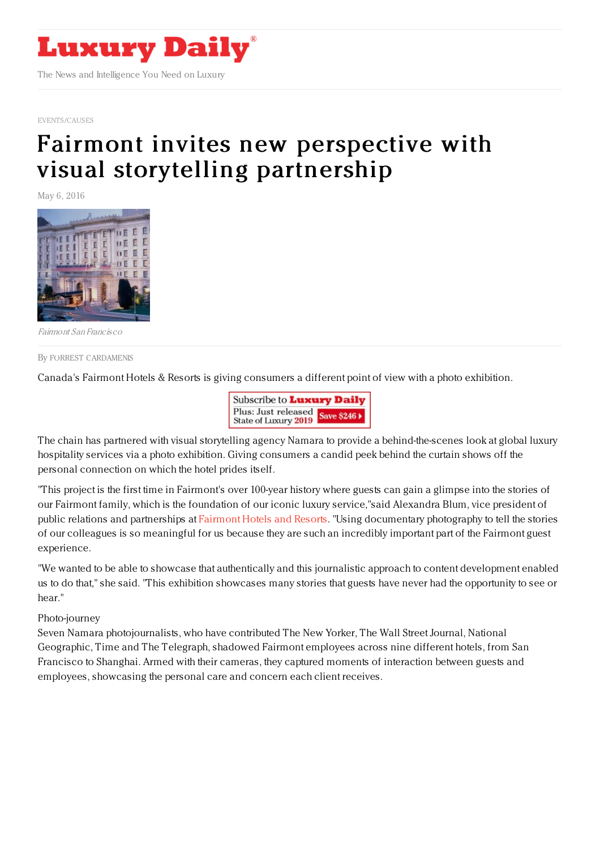

[EVENTS/CAUSES](https://www.luxurydaily.com/category/news/events/)

# Fairmont invites new perspective with visual storytelling [partnership](https://www.luxurydaily.com/fairmont-invites-new-perspective-with-visual-storytelling-partnership/)

May 6, 2016



Fairmont San Francisco

By FORREST [CARDAMENIS](file:///author/forrest-cardamenis)

Canada's Fairmont Hotels & Resorts is giving consumers a different point of view with a photo exhibition.



The chain has partnered with visual storytelling agency Namara to provide a behind-the-scenes look at global luxury hospitality services via a photo exhibition. Giving consumers a candid peek behind the curtain shows off the personal connection on which the hotel prides itself.

"This project is the first time in Fairmont's over 100-year history where guests can gain a glimpse into the stories of our Fairmont family, which is the foundation of our iconic luxury service,"said Alexandra Blum, vice president of public relations and partnerships at [Fairmont](http://www.fairmont.com/) Hotels and Resorts. "Using documentary photography to tell the stories of our colleagues is so meaningful for us because they are such an incredibly important part of the Fairmont guest experience.

"We wanted to be able to showcase that authentically and this journalistic approach to content development enabled us to do that," she said. "This exhibition showcases many stories that guests have never had the opportunity to see or hear."

#### Photo-journey

Seven Namara photojournalists, who have contributed The New Yorker, The Wall Street Journal, National Geographic, Time and The Telegraph, shadowed Fairmont employees across nine different hotels, from San Francisco to Shanghai. Armed with their cameras, they captured moments of interaction between guests and employees, showcasing the personal care and concern each client receives.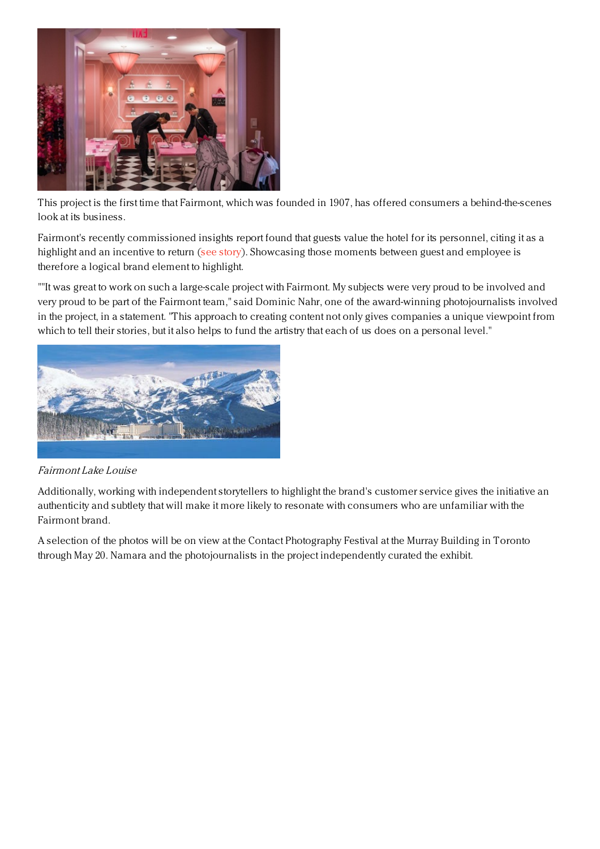

This project is the first time that Fairmont, which was founded in 1907, has offered consumers a behind-the-scenes look at its business.

Fairmont's recently commissioned insights report found that guests value the hotel for its personnel, citing it as a highlight and an incentive to return (see [story](https://www.luxurydaily.com/travelers-interested-in-history-and-culture-of-locale-fairmont/)). Showcasing those moments between guest and employee is therefore a logical brand element to highlight.

""It was great to work on such a large-scale project with Fairmont. My subjects were very proud to be involved and very proud to be part of the Fairmont team," said Dominic Nahr, one of the award-winning photojournalists involved in the project, in a statement. "This approach to creating content not only gives companies a unique viewpoint from which to tell their stories, but it also helps to fund the artistry that each of us does on a personal level."



# Fairmont Lake Louise

Additionally, working with independent storytellers to highlight the brand's customer service gives the initiative an authenticity and subtlety that will make it more likely to resonate with consumers who are unfamiliar with the Fairmont brand.

A selection of the photos will be on view at the Contact Photography Festival at the Murray Building in Toronto through May 20. Namara and the photojournalists in the project independently curated the exhibit.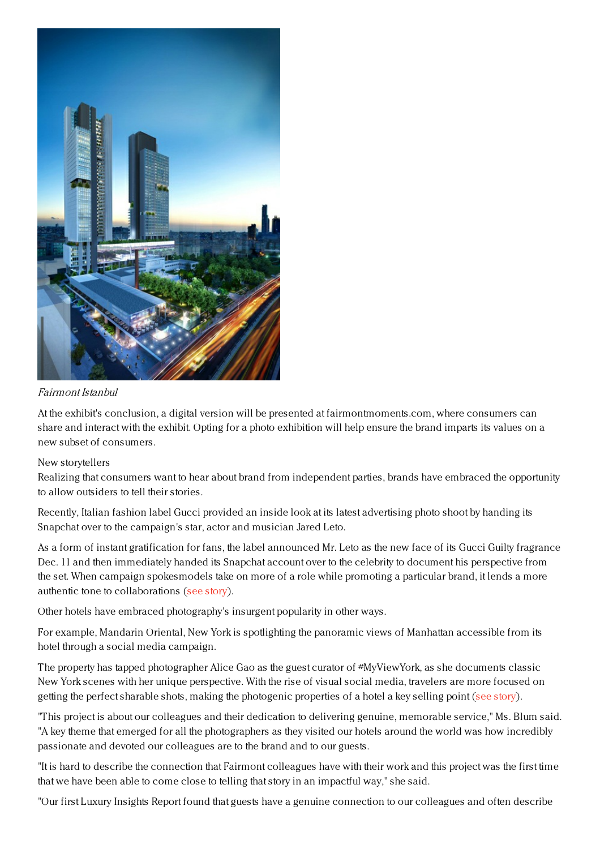

## Fairmont Istanbul

At the exhibit's conclusion, a digital version will be presented at fairmontmoments.com, where consumers can share and interact with the exhibit. Opting for a photo exhibition will help ensure the brand imparts its values on a new subset of consumers.

## New storytellers

Realizing that consumers want to hear about brand from independent parties, brands have embraced the opportunity to allow outsiders to tell their stories.

Recently, Italian fashion label Gucci provided an inside look at its latest advertising photo shoot by handing its Snapchat over to the campaign's star, actor and musician Jared Leto.

As a form of instant gratification for fans, the label announced Mr. Leto as the new face of its Gucci Guilty fragrance Dec. 11 and then immediately handed its Snapchat account over to the celebrity to document his perspective from the set. When campaign spokesmodels take on more of a role while promoting a particular brand, it lends a more authentic tone to collaborations (see [story](https://www.luxurydaily.com/gucci-hands-snapchat-over-to-creative-pioneer-jared-leto/)).

Other hotels have embraced photography's insurgent popularity in other ways.

For example, Mandarin Oriental, New York is spotlighting the panoramic views of Manhattan accessible from its hotel through a social media campaign.

The property has tapped photographer Alice Gao as the guest curator of #MyViewYork, as she documents classic New York scenes with her unique perspective. With the rise of visual social media, travelers are more focused on getting the perfect sharable shots, making the photogenic properties of a hotel a key selling point (see [story](https://www.luxurydaily.com/mandarin-oriental-taps-photographer-to-capture-new-york-with-fresh-eyes/)).

"This project is about our colleagues and their dedication to delivering genuine, memorable service," Ms. Blum said. "A key theme that emerged for all the photographers as they visited our hotels around the world was how incredibly passionate and devoted our colleagues are to the brand and to our guests.

"It is hard to describe the connection that Fairmont colleagues have with their work and this project was the first time that we have been able to come close to telling that story in an impactful way," she said.

"Our first Luxury Insights Report found that guests have a genuine connection to our colleagues and often describe